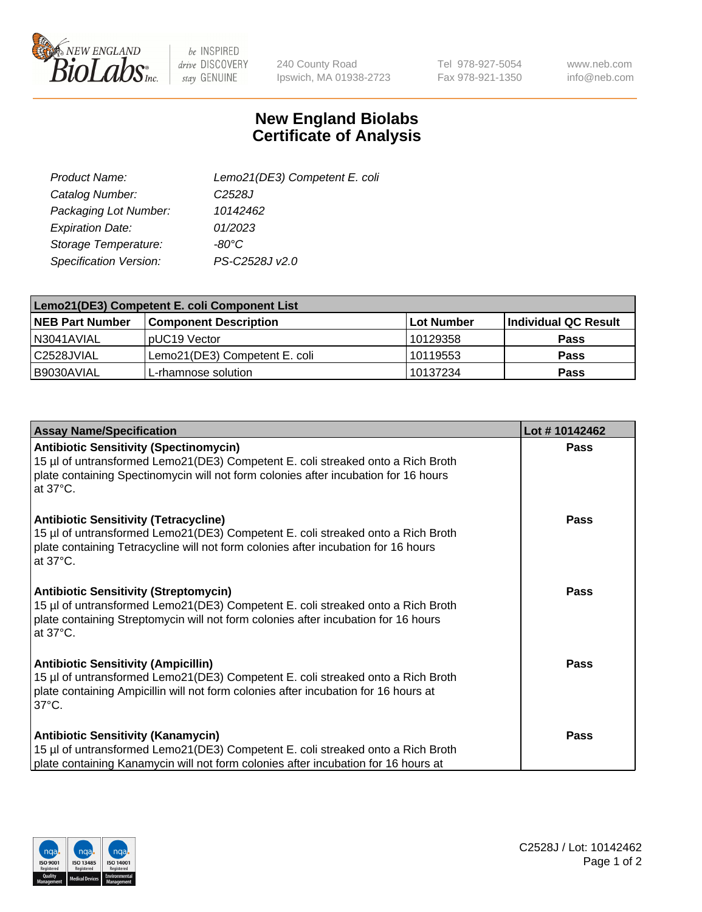

 $be$  INSPIRED drive DISCOVERY stay GENUINE

240 County Road Ipswich, MA 01938-2723 Tel 978-927-5054 Fax 978-921-1350

www.neb.com info@neb.com

## **New England Biolabs Certificate of Analysis**

| Lemo21(DE3) Competent E. coli |
|-------------------------------|
| C <sub>2528</sub> J           |
| 10142462                      |
| 01/2023                       |
| $-80^{\circ}$ C               |
| PS-C2528J v2.0                |
|                               |

| Lemo21(DE3) Competent E. coli Component List |                               |            |                      |  |
|----------------------------------------------|-------------------------------|------------|----------------------|--|
| <b>NEB Part Number</b>                       | <b>Component Description</b>  | Lot Number | Individual QC Result |  |
| I N3041AVIAL                                 | IpUC19 Vector                 | 10129358   | <b>Pass</b>          |  |
| l C2528JVIAL                                 | Lemo21(DE3) Competent E. coli | 10119553   | <b>Pass</b>          |  |
| B9030AVIAL                                   | L-rhamnose solution           | 10137234   | <b>Pass</b>          |  |

| <b>Assay Name/Specification</b>                                                                                                                                                                                                             | Lot #10142462 |
|---------------------------------------------------------------------------------------------------------------------------------------------------------------------------------------------------------------------------------------------|---------------|
| <b>Antibiotic Sensitivity (Spectinomycin)</b><br>15 µl of untransformed Lemo21(DE3) Competent E. coli streaked onto a Rich Broth<br>plate containing Spectinomycin will not form colonies after incubation for 16 hours<br>at 37°C.         | Pass          |
| <b>Antibiotic Sensitivity (Tetracycline)</b><br>15 µl of untransformed Lemo21(DE3) Competent E. coli streaked onto a Rich Broth<br>plate containing Tetracycline will not form colonies after incubation for 16 hours<br>at $37^{\circ}$ C. | Pass          |
| <b>Antibiotic Sensitivity (Streptomycin)</b><br>15 µl of untransformed Lemo21(DE3) Competent E. coli streaked onto a Rich Broth<br>plate containing Streptomycin will not form colonies after incubation for 16 hours<br>at 37°C.           | <b>Pass</b>   |
| <b>Antibiotic Sensitivity (Ampicillin)</b><br>15 µl of untransformed Lemo21(DE3) Competent E. coli streaked onto a Rich Broth<br>plate containing Ampicillin will not form colonies after incubation for 16 hours at<br>$37^{\circ}$ C.     | <b>Pass</b>   |
| <b>Antibiotic Sensitivity (Kanamycin)</b><br>15 µl of untransformed Lemo21(DE3) Competent E. coli streaked onto a Rich Broth<br>plate containing Kanamycin will not form colonies after incubation for 16 hours at                          | <b>Pass</b>   |